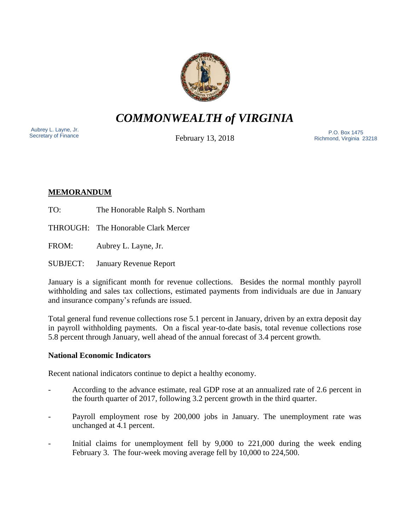

*COMMONWEALTH of VIRGINIA*

Aubrey L. Layne, Jr.

February 13, 2018

Aubrey L. Layne, Jr. (2008) 2014 12:38 P.O. Box 1475<br>Secretary of Finance P.O. Box 1475 Richmond, Virginia 23218

# **MEMORANDUM**

- TO: The Honorable Ralph S. Northam
- THROUGH: The Honorable Clark Mercer
- FROM: Aubrey L. Layne, Jr.
- SUBJECT: January Revenue Report

January is a significant month for revenue collections. Besides the normal monthly payroll withholding and sales tax collections, estimated payments from individuals are due in January and insurance company's refunds are issued.

Total general fund revenue collections rose 5.1 percent in January, driven by an extra deposit day in payroll withholding payments. On a fiscal year-to-date basis, total revenue collections rose 5.8 percent through January, well ahead of the annual forecast of 3.4 percent growth.

### **National Economic Indicators**

Recent national indicators continue to depict a healthy economy.

- According to the advance estimate, real GDP rose at an annualized rate of 2.6 percent in the fourth quarter of 2017, following 3.2 percent growth in the third quarter.
- Payroll employment rose by 200,000 jobs in January. The unemployment rate was unchanged at 4.1 percent.
- Initial claims for unemployment fell by 9,000 to 221,000 during the week ending February 3. The four-week moving average fell by 10,000 to 224,500.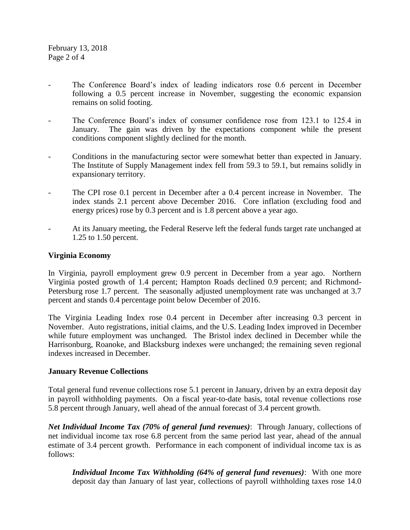- The Conference Board's index of leading indicators rose 0.6 percent in December following a 0.5 percent increase in November, suggesting the economic expansion remains on solid footing.
- The Conference Board's index of consumer confidence rose from 123.1 to 125.4 in January. The gain was driven by the expectations component while the present conditions component slightly declined for the month.
- Conditions in the manufacturing sector were somewhat better than expected in January. The Institute of Supply Management index fell from 59.3 to 59.1, but remains solidly in expansionary territory.
- The CPI rose 0.1 percent in December after a 0.4 percent increase in November. The index stands 2.1 percent above December 2016. Core inflation (excluding food and energy prices) rose by 0.3 percent and is 1.8 percent above a year ago.
- At its January meeting, the Federal Reserve left the federal funds target rate unchanged at 1.25 to 1.50 percent.

## **Virginia Economy**

In Virginia, payroll employment grew 0.9 percent in December from a year ago. Northern Virginia posted growth of 1.4 percent; Hampton Roads declined 0.9 percent; and Richmond-Petersburg rose 1.7 percent. The seasonally adjusted unemployment rate was unchanged at 3.7 percent and stands 0.4 percentage point below December of 2016.

The Virginia Leading Index rose 0.4 percent in December after increasing 0.3 percent in November. Auto registrations, initial claims, and the U.S. Leading Index improved in December while future employment was unchanged. The Bristol index declined in December while the Harrisonburg, Roanoke, and Blacksburg indexes were unchanged; the remaining seven regional indexes increased in December.

### **January Revenue Collections**

Total general fund revenue collections rose 5.1 percent in January, driven by an extra deposit day in payroll withholding payments. On a fiscal year-to-date basis, total revenue collections rose 5.8 percent through January, well ahead of the annual forecast of 3.4 percent growth.

*Net Individual Income Tax (70% of general fund revenues)*: Through January, collections of net individual income tax rose 6.8 percent from the same period last year, ahead of the annual estimate of 3.4 percent growth. Performance in each component of individual income tax is as follows:

*Individual Income Tax Withholding (64% of general fund revenues)*: With one more deposit day than January of last year, collections of payroll withholding taxes rose 14.0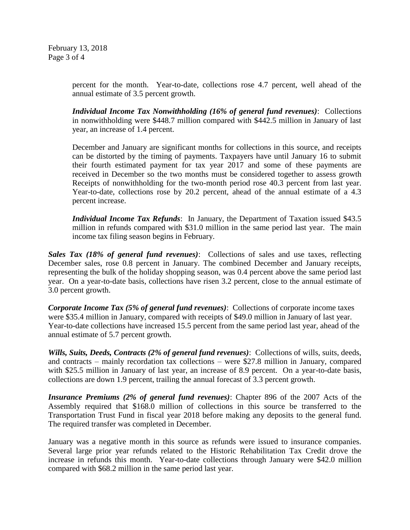percent for the month. Year-to-date, collections rose 4.7 percent, well ahead of the annual estimate of 3.5 percent growth.

*Individual Income Tax Nonwithholding (16% of general fund revenues)*: Collections in nonwithholding were \$448.7 million compared with \$442.5 million in January of last year, an increase of 1.4 percent.

December and January are significant months for collections in this source, and receipts can be distorted by the timing of payments. Taxpayers have until January 16 to submit their fourth estimated payment for tax year 2017 and some of these payments are received in December so the two months must be considered together to assess growth Receipts of nonwithholding for the two-month period rose 40.3 percent from last year. Year-to-date, collections rose by 20.2 percent, ahead of the annual estimate of a 4.3 percent increase.

*Individual Income Tax Refunds*: In January, the Department of Taxation issued \$43.5 million in refunds compared with \$31.0 million in the same period last year. The main income tax filing season begins in February.

*Sales Tax (18% of general fund revenues)*: Collections of sales and use taxes, reflecting December sales, rose 0.8 percent in January. The combined December and January receipts, representing the bulk of the holiday shopping season, was 0.4 percent above the same period last year. On a year-to-date basis, collections have risen 3.2 percent, close to the annual estimate of 3.0 percent growth.

*Corporate Income Tax (5% of general fund revenues)*: Collections of corporate income taxes were \$35.4 million in January, compared with receipts of \$49.0 million in January of last year. Year-to-date collections have increased 15.5 percent from the same period last year, ahead of the annual estimate of 5.7 percent growth.

*Wills, Suits, Deeds, Contracts (2% of general fund revenues)*: Collections of wills, suits, deeds, and contracts – mainly recordation tax collections – were \$27.8 million in January, compared with \$25.5 million in January of last year, an increase of 8.9 percent. On a year-to-date basis, collections are down 1.9 percent, trailing the annual forecast of 3.3 percent growth.

*Insurance Premiums (2% of general fund revenues)*: Chapter 896 of the 2007 Acts of the Assembly required that \$168.0 million of collections in this source be transferred to the Transportation Trust Fund in fiscal year 2018 before making any deposits to the general fund. The required transfer was completed in December.

January was a negative month in this source as refunds were issued to insurance companies. Several large prior year refunds related to the Historic Rehabilitation Tax Credit drove the increase in refunds this month. Year-to-date collections through January were \$42.0 million compared with \$68.2 million in the same period last year.